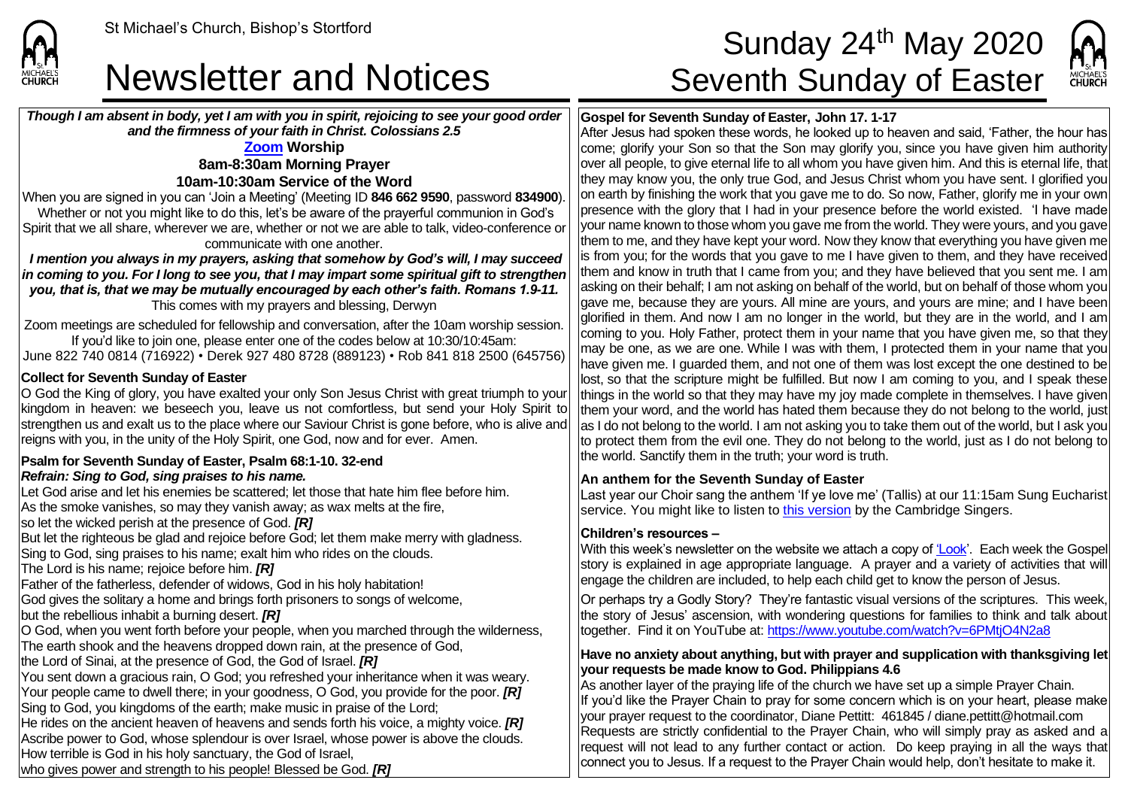*Though I am absent in body, yet I am with you in spirit, rejoicing to see your good order and the firmness of your faith in Christ. Colossians 2.5*

#### **[Zoom](https://zoom.us/) Worship 8am-8:30am Morning Prayer 10am-10:30am Service of the Word**

When you are signed in you can 'Join a Meeting' (Meeting ID **846 662 9590**, password **834900**). Whether or not you might like to do this, let's be aware of the prayerful communion in God's Spirit that we all share, wherever we are, whether or not we are able to talk, video-conference or communicate with one another.

*I mention you always in my prayers, asking that somehow by God's will, I may succeed in coming to you. For I long to see you, that I may impart some spiritual gift to strengthen you, that is, that we may be mutually encouraged by each other's faith. Romans 1.9-11.* This comes with my prayers and blessing, Derwyn

Zoom meetings are scheduled for fellowship and conversation, after the 10am worship session.

If you'd like to join one, please enter one of the codes below at 10:30/10:45am: June 822 740 0814 (716922) • Derek 927 480 8728 (889123) • Rob 841 818 2500 (645756)

#### **Collect for Seventh Sunday of Easter**

**CHURCH** 

O God the King of glory, you have exalted your only Son Jesus Christ with great triumph to your kingdom in heaven: we beseech you, leave us not comfortless, but send your Holy Spirit to strengthen us and exalt us to the place where our Saviour Christ is gone before, who is alive and reigns with you, in the unity of the Holy Spirit, one God, now and for ever. Amen.

#### **Psalm for Seventh Sunday of Easter, Psalm 68:1-10. 32-end** *Refrain: Sing to God, sing praises to his name.*

Let God arise and let his enemies be scattered; let those that hate him flee before him.

As the smoke vanishes, so may they vanish away; as wax melts at the fire,

so let the wicked perish at the presence of God. *[R]*

But let the righteous be glad and rejoice before God; let them make merry with gladness.

Sing to God, sing praises to his name; exalt him who rides on the clouds.

The Lord is his name; rejoice before him. *[R]*

Father of the fatherless, defender of widows, God in his holy habitation!

God gives the solitary a home and brings forth prisoners to songs of welcome,

but the rebellious inhabit a burning desert. *[R]*

O God, when you went forth before your people, when you marched through the wilderness, The earth shook and the heavens dropped down rain, at the presence of God,

the Lord of Sinai, at the presence of God, the God of Israel. *[R]*

You sent down a gracious rain, O God; you refreshed your inheritance when it was weary. Your people came to dwell there; in your goodness, O God, you provide for the poor. *[R]* Sing to God, you kingdoms of the earth; make music in praise of the Lord;

He rides on the ancient heaven of heavens and sends forth his voice, a mighty voice. *[R]* Ascribe power to God, whose splendour is over Israel, whose power is above the clouds. How terrible is God in his holy sanctuary, the God of Israel,

who gives power and strength to his people! Blessed be God. *[R]*

# St Michael's Church, Bishop's Stortford **Sunday 24<sup>th</sup> May 2020** Newsletter and Notices Seventh Sunday of Easter



### **Gospel for Seventh Sunday of Easter, John 17. 1-17**

After Jesus had spoken these words, he looked up to heaven and said, 'Father, the hour has come; glorify your Son so that the Son may glorify you, since you have given him authority  $\vert$ over all people, to give eternal life to all whom you have given him. And this is eternal life, that they may know you, the only true God, and Jesus Christ whom you have sent. I glorified you on earth by finishing the work that you gave me to do. So now, Father, glorify me in your own presence with the glory that I had in your presence before the world existed. 'I have made your name known to those whom you gave me from the world. They were yours, and you gave them to me, and they have kept your word. Now they know that everything you have given me is from you; for the words that you gave to me I have given to them, and they have received them and know in truth that I came from you; and they have believed that you sent me. I am asking on their behalf; I am not asking on behalf of the world, but on behalf of those whom you gave me, because they are yours. All mine are yours, and yours are mine; and I have been glorified in them. And now I am no longer in the world, but they are in the world, and I am coming to you. Holy Father, protect them in your name that you have given me, so that they may be one, as we are one. While I was with them, I protected them in your name that you have given me. I guarded them, and not one of them was lost except the one destined to be lost, so that the scripture might be fulfilled. But now I am coming to you, and I speak these things in the world so that they may have my joy made complete in themselves. I have given them your word, and the world has hated them because they do not belong to the world, just as I do not belong to the world. I am not asking you to take them out of the world, but I ask you to protect them from the evil one. They do not belong to the world, just as I do not belong to the world. Sanctify them in the truth; your word is truth.

### **An anthem for the Seventh Sunday of Easter**

Last year our Choir sang the anthem 'If ye love me' (Tallis) at our 11:15am Sung Eucharist service. You might like to listen to [this version](https://www.youtube.com/watch?v=eqt005j1dB0) by the Cambridge Singers.

#### **Children's resources –**

With this week's newsletter on the website we attach a copy o[f 'Look'.](https://saintmichaelweb.org.uk/Articles/542815/_Newsletter.aspx) Each week the Gospel story is explained in age appropriate language. A prayer and a variety of activities that will engage the children are included, to help each child get to know the person of Jesus.

Or perhaps try a Godly Story? They're fantastic visual versions of the scriptures. This week, the story of Jesus' ascension, with wondering questions for families to think and talk about together. Find it on YouTube at[: https://www.youtube.com/watch?v=6PMtjO4N2a8](https://www.youtube.com/watch?v=6PMtjO4N2a8)

#### **Have no anxiety about anything, but with prayer and supplication with thanksgiving let your requests be made know to God. Philippians 4.6**

As another layer of the praying life of the church we have set up a simple Prayer Chain. If you'd like the Prayer Chain to pray for some concern which is on your heart, please make your prayer request to the coordinator, Diane Pettitt: 461845 / diane.pettitt@hotmail.com Requests are strictly confidential to the Prayer Chain, who will simply pray as asked and a request will not lead to any further contact or action. Do keep praying in all the ways that connect you to Jesus. If a request to the Prayer Chain would help, don't hesitate to make it.